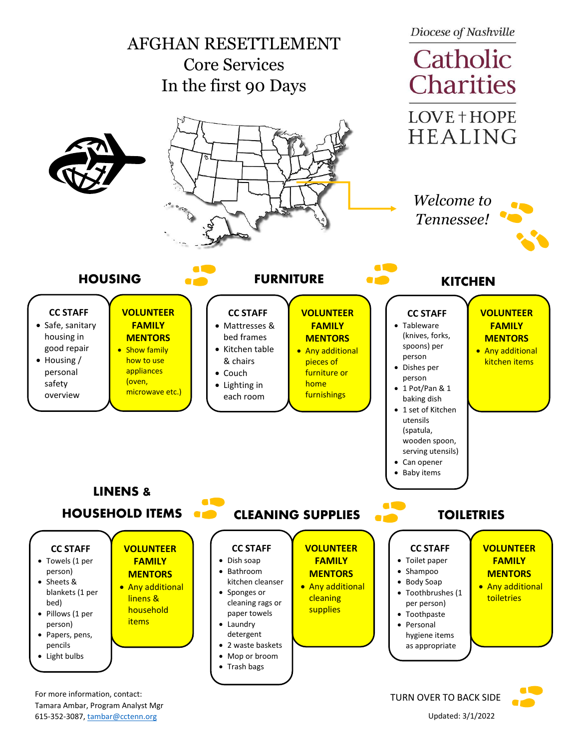

615-352-3087[, tambar@cctenn.org](mailto:tambar@cctenn.org) Updated: 3/1/2022